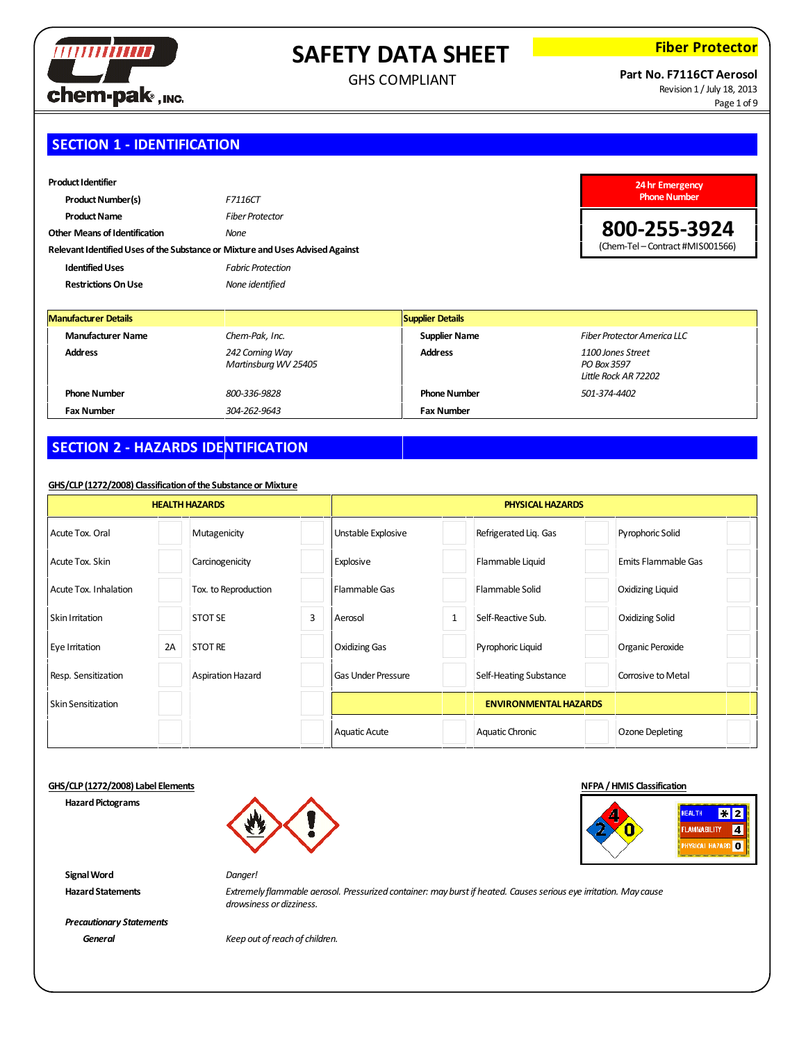

GHS COMPLIANT

**Fiber Protector**

### **Part No. F7116CT Aerosol** Revision 1 / July 18, 2013

**800-255-3924** (Chem-Tel – Contract #MIS001566)

Page 1 of 9

# **SECTION 1 - IDENTIFICATION**

| <b>Product I dentifier</b>                                                    |                          | 24 hr Emergency           |
|-------------------------------------------------------------------------------|--------------------------|---------------------------|
| <b>Product Number(s)</b><br>F7116CT                                           |                          | <b>Phone Number</b>       |
| <b>Product Name</b>                                                           | <b>Fiber Protector</b>   |                           |
| <b>Other Means of Identification</b><br>None                                  |                          | 800-255-39                |
| Relevant Identified Uses of the Substance or Mixture and Uses Advised Against |                          | (Chem-Tel - Contract #MIS |
| <b>Identified Uses</b>                                                        | <b>Fabric Protection</b> |                           |
| <b>Restrictions On Use</b>                                                    | None identified          |                           |

| <b>Manufacturer Details</b> |                                         | Supplier Details     |                                                          |
|-----------------------------|-----------------------------------------|----------------------|----------------------------------------------------------|
| <b>Manufacturer Name</b>    | Chem-Pak, Inc.                          | <b>Supplier Name</b> | Fiber Protector America LLC                              |
| <b>Address</b>              | 242 Corning Way<br>Martinsburg WV 25405 | <b>Address</b>       | 1100 Jones Street<br>PO Box 3597<br>Little Rock AR 72202 |
| <b>Phone Number</b>         | 800-336-9828                            | <b>Phone Number</b>  | 501-374-4402                                             |
| <b>Fax Number</b>           | 304-262-9643                            | <b>Fax Number</b>    |                                                          |

# **SECTION 2 - HAZARDS IDENTIFICATION**

### **GHS/CLP(1272/2008) Classificationofthe Substance or Mixture**

| <b>HEALTH HAZARDS</b>     |    | <b>PHYSICAL HAZARDS</b> |   |                           |              |                              |  |                         |  |
|---------------------------|----|-------------------------|---|---------------------------|--------------|------------------------------|--|-------------------------|--|
| Acute Tox. Oral           |    | Mutagenicity            |   | Unstable Explosive        |              | Refrigerated Liq. Gas        |  | Pyrophoric Solid        |  |
| Acute Tox. Skin           |    | Carcinogenicity         |   | Explosive                 |              | Flammable Liquid             |  | Emits Flammable Gas     |  |
| Acute Tox. Inhalation     |    | Tox. to Reproduction    |   | Flammable Gas             |              | Flammable Solid              |  | <b>Oxidizing Liquid</b> |  |
| <b>Skin Irritation</b>    |    | <b>STOT SE</b>          | 3 | Aerosol                   | $\mathbf{1}$ | Self-Reactive Sub.           |  | <b>Oxidizing Solid</b>  |  |
| Eye Irritation            | 2A | <b>STOT RE</b>          |   | <b>Oxidizing Gas</b>      |              | Pyrophoric Liquid            |  | Organic Peroxide        |  |
| Resp. Sensitization       |    | Aspiration Hazard       |   | <b>Gas Under Pressure</b> |              | Self-Heating Substance       |  | Corrosive to Metal      |  |
| <b>Skin Sensitization</b> |    |                         |   |                           |              | <b>ENVIRONMENTAL HAZARDS</b> |  |                         |  |
|                           |    |                         |   | <b>Aquatic Acute</b>      |              | Aquatic Chronic              |  | Ozone Depleting         |  |

### **GHS/CLP(1272/2008) Label Elements NFPA/HMIS Classification**

**Hazard Pictograms** 

**SignalWord** *Danger!*





**HazardStatements** *Extremely flammable aerosol. Pressurized container: mayburstif heated. Causesserious eye irritation. May cause drowsiness ordizziness.*

*Precautionary Statements*

*General Keep out ofreach of children.*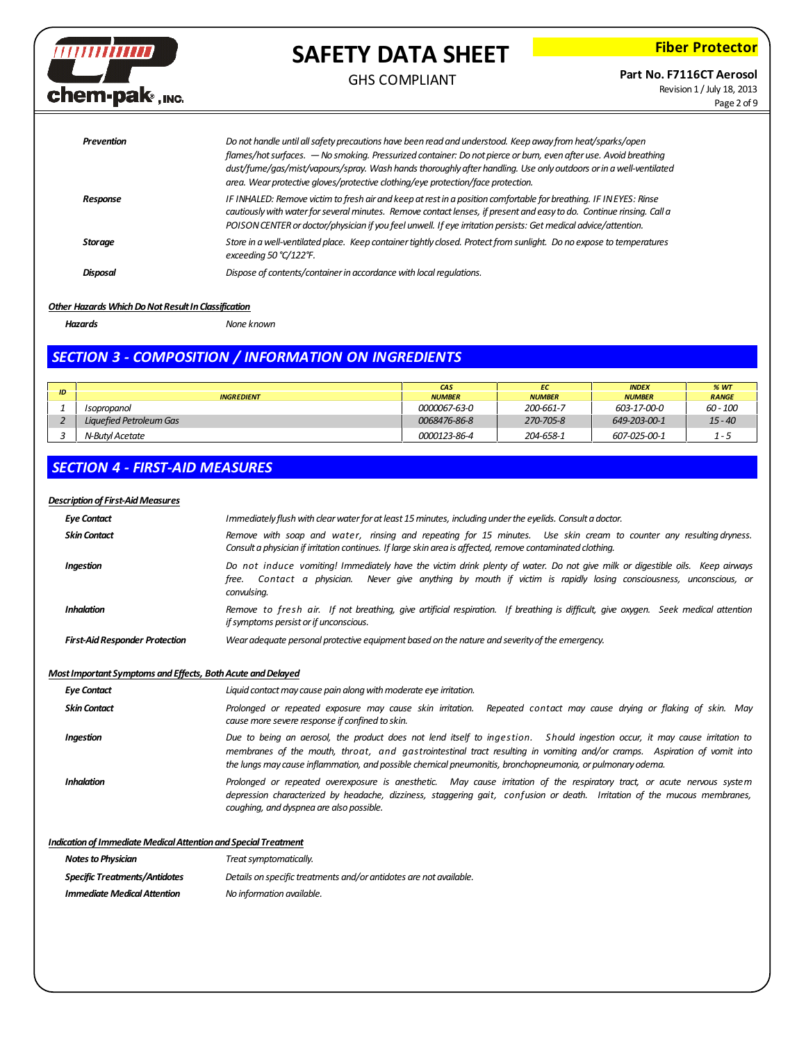

# **Fiber Protector**

### GHS COMPLIANT

**Part No. F7116CT Aerosol**

Revision 1 / July 18, 2013 Page 2 of 9

| Prevention     | Do not handle until all safety precautions have been read and understood. Keep away from heat/sparks/open<br>flames/hot surfaces. — No smoking. Pressurized container: Do not pierce or burn, even after use. Avoid breathing<br>dust/fume/gas/mist/vapours/spray. Wash hands thoroughly after handling. Use only outdoors or in a well-ventilated<br>area. Wear protective gloves/protective clothing/eye protection/face protection. |
|----------------|----------------------------------------------------------------------------------------------------------------------------------------------------------------------------------------------------------------------------------------------------------------------------------------------------------------------------------------------------------------------------------------------------------------------------------------|
| Response       | IF INHALED: Remove victim to fresh air and keep at rest in a position comfortable for breathing. IF IN EYES: Rinse<br>cautiously with water for several minutes. Remove contact lenses, if present and easy to do. Continue rinsing. Call a<br>POISON CENTER or doctor/physician if you feel unwell. If eye irritation persists: Get medical advice/attention.                                                                         |
| <b>Storage</b> | Store in a well-ventilated place. Keep container tightly closed. Protect from sunlight. Do no expose to temperatures<br>exceeding 50 $°C/122$ °F.                                                                                                                                                                                                                                                                                      |
| Disposal       | Dispose of contents/container in accordance with local regulations.                                                                                                                                                                                                                                                                                                                                                                    |

### **Other Hazards Which Do Not Result In Classification**

*Hazards None known*

### *SECTION 3 - COMPOSITION / INFORMATION ON INGREDIENTS*

|    |                         | <b>CAS</b>          | EC            | <b>INDEX</b>  | %WT          |
|----|-------------------------|---------------------|---------------|---------------|--------------|
| ID | <b>INGREDIENT</b>       | <b>NUMBER</b>       | <b>NUMBER</b> | <b>NUMBER</b> | <b>RANGE</b> |
|    | Isopropanol             | <i>0000067-63-0</i> | 200-661-7     | 603-17-00-0   | 60 - 100     |
|    | Liquefied Petroleum Gas | 0068476-86-8        | 270-705-8     | 649-203-00-1  | $15 - 40$    |
|    | N-Butvl Acetate         | 0000123-86-4        | 204-658-1     | 607-025-00-1  | $1 - 5$      |

### *SECTION 4 - FIRST-AID MEASURES*

### **Description of First-Aid Measures**

| <b>Eye Contact</b>                    | Immediately flush with clear water for at least 15 minutes, including under the eyelids. Consult a doctor.                                                                                                                                                        |
|---------------------------------------|-------------------------------------------------------------------------------------------------------------------------------------------------------------------------------------------------------------------------------------------------------------------|
| <b>Skin Contact</b>                   | Remove with soap and water, rinsing and repeating for 15 minutes. Use skin cream to counter any resulting dryness.<br>Consult a physician if irritation continues. If large skin area is affected, remove contaminated clothing.                                  |
| <b>Ingestion</b>                      | Do not induce vomiting! Immediately have the victim drink plenty of water. Do not give milk or digestible oils. Keep airways<br>free. Contact a physician. Never give anything by mouth if victim is rapidly losing consciousness, unconscious, or<br>convulsing. |
| <b>Inhalation</b>                     | Remove to fresh air. If not breathing, give artificial respiration. If breathing is difficult, give oxygen. Seek medical attention<br>if symptoms persist or if unconscious.                                                                                      |
| <b>First-Aid Responder Protection</b> | Wear adequate personal protective equipment based on the nature and severity of the emergency.                                                                                                                                                                    |

### *Most Important Symptoms and Effects, Both Acute and Delayed*

*Eye Contact Liquid contactmay cause pain alongwithmoderate eye irritation.*

| <b>Skin Contact</b> | Prolonged or repeated exposure may cause skin irritation. Repeated contact may cause drying or flaking of skin. May<br>cause more severe response if confined to skin.                                                                                                                                                                                               |
|---------------------|----------------------------------------------------------------------------------------------------------------------------------------------------------------------------------------------------------------------------------------------------------------------------------------------------------------------------------------------------------------------|
| Ingestion           | Due to being an aerosol, the product does not lend itself to ingestion. Should ingestion occur, it may cause irritation to<br>membranes of the mouth, throat, and gastrointestinal tract resulting in vomiting and/or cramps. Aspiration of vomit into<br>the lungs may cause inflammation, and possible chemical pneumonitis, bronchopneumonia, or pulmonary odema. |
| <b>Inhalation</b>   | Prolonged or repeated overexposure is anesthetic. May cause irritation of the respiratory tract, or acute nervous system<br>depression characterized by headache, dizziness, staggering gait, confusion or death. Irritation of the mucous membranes,<br>coughing, and dyspnea are also possible.                                                                    |
|                     |                                                                                                                                                                                                                                                                                                                                                                      |

**Indication of Immediate Medical Attention and Special Treatment** 

| <b>Notes to Physician</b>            | Treat symptomatically.                                             |
|--------------------------------------|--------------------------------------------------------------------|
| <b>Specific Treatments/Antidotes</b> | Details on specific treatments and/or antidotes are not available. |
| <b>Immediate Medical Attention</b>   | No information available.                                          |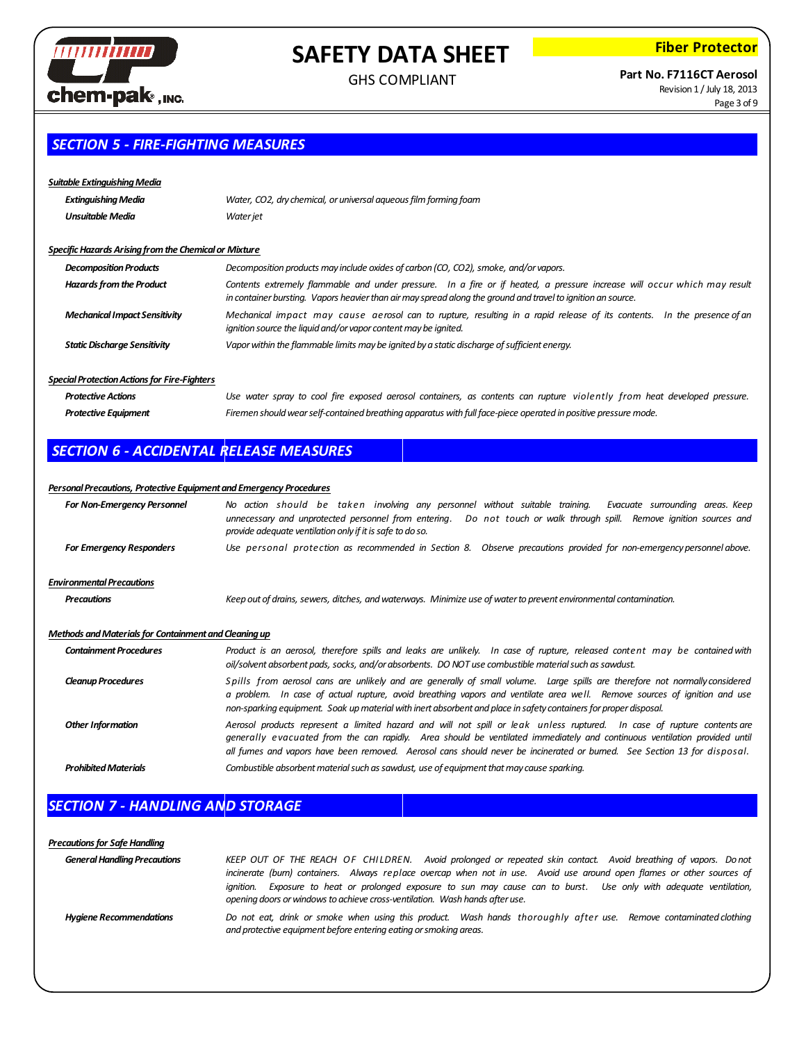

GHS COMPLIANT

**Fiber Protector**

# **Part No. F7116CT Aerosol**

Revision 1 / July 18, 2013 Page 3 of 9

# *SECTION 5 - FIRE-FIGHTING MEASURES*

### *Suitable ExtinguishingMedia*

| Extinguishing Media     | Water, CO2, dry chemical, or universal aqueous film forming foam |
|-------------------------|------------------------------------------------------------------|
| <b>Unsuitable Media</b> | Water jet                                                        |

#### *SpecificHazards Arisingfrom the Chemicalor Mixture*

| <b>Decomposition Products</b>        | Decomposition products may include oxides of carbon (CO, CO2), smoke, and/or vapors.                                                                                                                                                     |
|--------------------------------------|------------------------------------------------------------------------------------------------------------------------------------------------------------------------------------------------------------------------------------------|
| <b>Hazards from the Product</b>      | Contents extremely flammable and under pressure. In a fire or if heated, a pressure increase will occur which may result<br>in container bursting. Vapors heavier than air may spread along the ground and travel to ignition an source. |
| <b>Mechanical Impact Sensitivity</b> | Mechanical impact may cause aerosol can to rupture, resulting in a rapid release of its contents. In the presence of an<br>ignition source the liquid and/or vapor content may be ignited.                                               |
| <b>Static Discharge Sensitivity</b>  | Vapor within the flammable limits may be ignited by a static discharge of sufficient energy.                                                                                                                                             |

### **Special Protection Actions for Fire-Fighters**

| <b>Protective Actions</b> | Use water spray to cool fire exposed aerosol containers, as contents can rupture violently from heat developed pressure. |
|---------------------------|--------------------------------------------------------------------------------------------------------------------------|
| Protective Equipment      | Firemen should wear self-contained breathing apparatus with full face-piece operated in positive pressure mode.          |

# *SECTION 6 - ACCIDENTAL RELEASE MEASURES*

#### *PersonalPrecautions, Protective EquipmentandEmergency Procedures*

| <b>For Non-Emergency Personnel</b>                           | No action should be taken involving any personnel without suitable training. Evacuate surrounding areas. Keep<br>unnecessary and unprotected personnel from entering. Do not touch or walk through spill. Remove ignition sources and<br>provide adequate ventilation only if it is safe to do so.                                                                               |
|--------------------------------------------------------------|----------------------------------------------------------------------------------------------------------------------------------------------------------------------------------------------------------------------------------------------------------------------------------------------------------------------------------------------------------------------------------|
| <b>For Emergency Responders</b>                              | Use personal protection as recommended in Section 8. Observe precautions provided for non-emergency personnel above.                                                                                                                                                                                                                                                             |
| <b>Environmental Precautions</b>                             |                                                                                                                                                                                                                                                                                                                                                                                  |
| <b>Precautions</b>                                           | Keep out of drains, sewers, ditches, and waterways. Minimize use of water to prevent environmental contamination.                                                                                                                                                                                                                                                                |
| <b>Methods and Materials for Containment and Cleaning up</b> |                                                                                                                                                                                                                                                                                                                                                                                  |
| <b>Containment Procedures</b>                                | Product is an aerosol, therefore spills and leaks are unlikely. In case of rupture, released content may be contained with<br>oil/solvent absorbent pads, socks, and/or absorbents. DO NOT use combustible material such as sawdust.                                                                                                                                             |
| <b>Cleanup Procedures</b>                                    | Spills from aerosol cans are unlikely and are generally of small volume. Large spills are therefore not normally considered<br>a problem. In case of actual rupture, avoid breathing vapors and ventilate area well. Remove sources of ignition and use<br>non-sparking equipment. Soak up material with inert absorbent and place in safety containers for proper disposal.     |
| <b>Other Information</b>                                     | Aerosol products represent a limited hazard and will not spill or leak unless ruptured. In case of rupture contents are<br>generally evacuated from the can rapidly. Area should be ventilated immediately and continuous ventilation provided until<br>all fumes and vapors have been removed. Aerosol cans should never be incinerated or burned. See Section 13 for disposal. |
| <b>Prohibited Materials</b>                                  | Combustible absorbent material such as sawdust, use of equipment that may cause sparking.                                                                                                                                                                                                                                                                                        |

## *SECTION 7 - HANDLING AND STORAGE*

### *Precautionsfor Safe Handling* General Handling Precautions KEEP OUT OF THE REACH OF CHILDREN. Avoid prolonged or repeated skin contact. Avoid breathing of vapors. Do not incinerate (burn) containers. Always replace overcap when not in use. Avoid use around open flames or other sources of ignition. Exposure to heat or prolonged exposure to sun may cause can to burst. Use only with adequate ventilation, *opening doors orwindowsto achieve cross-ventilation. Wash hands afteruse.* Hygiene Recommendations **Donot eat, drink or smoke when using this product**. Wash hands thoroughly after use. Remove contaminated clothing *and protective equipmentbefore entering eating orsmoking areas.*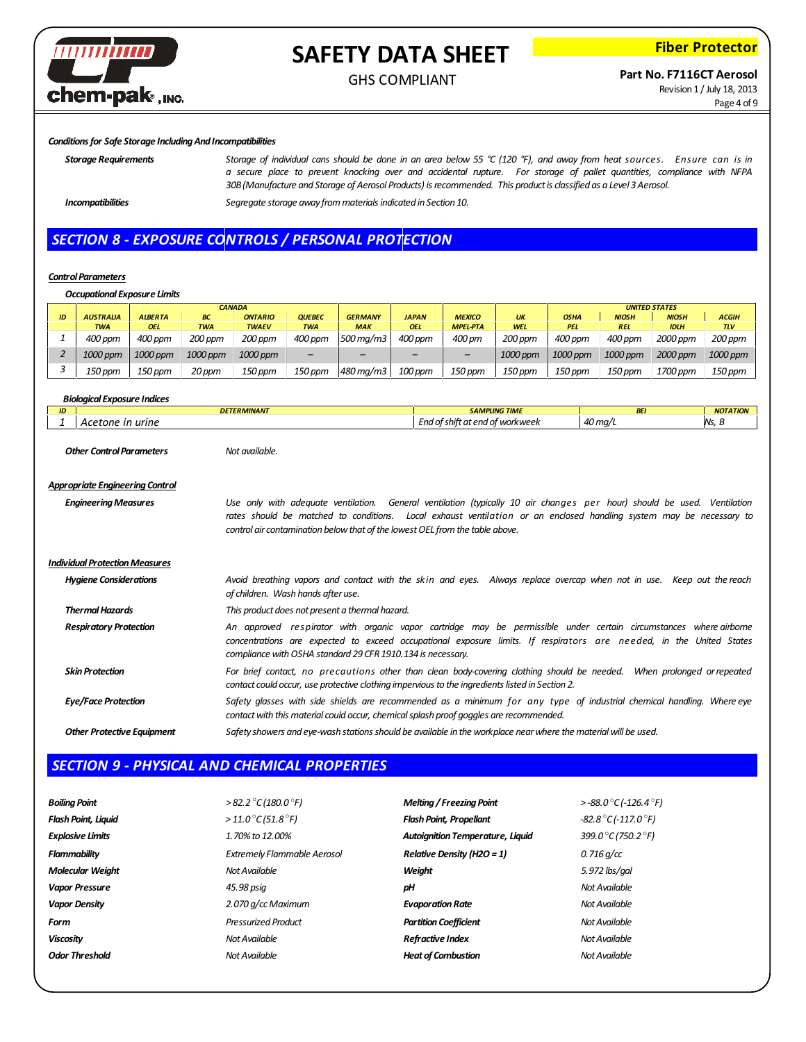

# **Fiber Protector**

### **Part No. F7116CT Aerosol**

Revision 1 / July 18, 2013 Page 4 of 9

#### *Conditionsfor Safe Storage IncludingAndIncompatibilities*

Storage Requirements Storage of individual cans should be done in an area below 55 °C (120 °F), and away from heat sources. Ensure can is in a secure place to prevent knocking over and accidental rupture. For storage of pallet quantities, compliance with NFPA *30B(Manufacture and Storage of Aerosol Products) isrecommended. This productis classified as a Level 3 Aerosol.*

*Incompatibilities Segregate storage away frommaterialsindicated in Section 10.*

### *SECTION 8 - EXPOSURE CONTROLS / PERSONAL PROTECTION*

#### **Control Parameters**

*Occupational Exposure Limits*

|    |                  | <b>CANADA</b>  |            |                |               |                |              |                 |            | <b>UNITED STATES</b> |              |              |              |
|----|------------------|----------------|------------|----------------|---------------|----------------|--------------|-----------------|------------|----------------------|--------------|--------------|--------------|
| ID | <b>AUSTRALIA</b> | <b>ALBERTA</b> | <b>BC</b>  | <b>ONTARIO</b> | <b>QUEBEC</b> | <b>GERMANY</b> | <b>JAPAN</b> | <b>MEXICO</b>   | <b>UK</b>  | <b>OSHA</b>          | <b>NIOSH</b> | <b>NIOSH</b> | <b>ACGIH</b> |
|    | <b>TWA</b>       | <b>OEL</b>     | <b>TWA</b> | <b>TWAEV</b>   | <b>TWA</b>    | <b>MAK</b>     | <b>OEL</b>   | <b>MPEL-PTA</b> | <b>WEL</b> | <b>PEL</b>           | <b>REL</b>   | <b>IDLH</b>  | <b>TLV</b>   |
|    | 400 ppm          | 400 ppm        | 200 ppm    | 200 ppm        | 400 ppm       | 500 ma/m3      | 400 ppm      | 400 pm          | 200 ppm    | 400 ppm              | 400 ppm      | 2000 ppm     | 200 ppm      |
|    | $1000$ ppm       | 1000 ppm       | 1000 ppm   | 1000 ppm       | -             | -              |              | -               | 1000 ppm   | 1000 ppm             | 1000 ppm     | 2000 ppm     | 1000 ppm     |
|    | 150 ppm          | $150$ ppm      | 20 ppm     | 150 ppm        | 150 ppm       | 480 mg/m3      | 100 ppm      | 150 ppm         | 150 ppm    | 150 ppm              | 150 ppm      | 1700 ppm     | 150 ppm      |

| <b>Biological Exposure Indices</b>    |                                                                                                                                                                                                                                                                                                                                |                                 |                       |                 |
|---------------------------------------|--------------------------------------------------------------------------------------------------------------------------------------------------------------------------------------------------------------------------------------------------------------------------------------------------------------------------------|---------------------------------|-----------------------|-----------------|
|                                       | <b>DETERMINANT</b>                                                                                                                                                                                                                                                                                                             | <b>SAMPLING TIME</b>            | <b>BEI</b>            | <b>NOTATION</b> |
| Acetone in urine                      |                                                                                                                                                                                                                                                                                                                                | End of shift at end of workweek | $40 \,\mathrm{mag/L}$ | Ns, B           |
| <b>Other Control Parameters</b>       | Not available.                                                                                                                                                                                                                                                                                                                 |                                 |                       |                 |
| Appropriate Engineering Control       |                                                                                                                                                                                                                                                                                                                                |                                 |                       |                 |
| <b>Engineering Measures</b>           | Use only with adequate ventilation. General ventilation (typically 10 air changes per hour) should be used. Ventilation<br>rates should be matched to conditions. Local exhaust ventilation or an enclosed handling system may be necessary to<br>control air contamination below that of the lowest OEL from the table above. |                                 |                       |                 |
| <b>Individual Protection Measures</b> |                                                                                                                                                                                                                                                                                                                                |                                 |                       |                 |
| <b>Hygiene Considerations</b>         | Avoid breathing vapors and contact with the skin and eyes. Always replace overcap when not in use. Keep out the reach<br>of children. Wash hands after use.                                                                                                                                                                    |                                 |                       |                 |
| <b>Thermal Hazards</b>                | This product does not present a thermal hazard.                                                                                                                                                                                                                                                                                |                                 |                       |                 |
| <b>Respiratory Protection</b>         | An approved respirator with organic vapor cartridge may be permissible under certain circumstances where-airborne<br>concentrations are expected to exceed occupational exposure limits. If respirators are needed, in the United States<br>compliance with OSHA standard 29 CFR 1910.134 is necessary.                        |                                 |                       |                 |
| <b>Skin Protection</b>                | For brief contact, no precautions other than clean body-covering clothing should be needed. When prolonged or repeated<br>contact could occur, use protective clothing impervious to the ingredients listed in Section 2.                                                                                                      |                                 |                       |                 |
| <b>Eye/Face Protection</b>            | Safety glasses with side shields are recommended as a minimum for any type of industrial chemical handling. Where eye<br>contact with this material could occur, chemical splash proof goggles are recommended.                                                                                                                |                                 |                       |                 |
| <b>Other Protective Equipment</b>     | Safety showers and eye-wash stations should be available in the workplace near where the material will be used.                                                                                                                                                                                                                |                                 |                       |                 |

### *SECTION 9 - PHYSICAL AND CHEMICAL PROPERTIES*

| <b>Boiling Point</b>       | $> 82.2 \degree C (180.0 \degree F)$    | <b>Melting / Freezing Point</b>         | $>$ -88.0 °C (-126.4 °F)                |
|----------------------------|-----------------------------------------|-----------------------------------------|-----------------------------------------|
| <b>Flash Point, Liquid</b> | $>11.0\,^{\circ}$ C (51.8 $^{\circ}$ F) | <b>Flash Point, Propellant</b>          | $-82.8^{\circ}$ C (-117.0 $^{\circ}$ F) |
| <b>Explosive Limits</b>    | 1.70% to 12,00%                         | <b>Autoignition Temperature, Liquid</b> | 399.0°C (750.2°F)                       |
| <b>Flammability</b>        | <b>Extremely Flammable Aerosol</b>      | <b>Relative Density (H2O = 1)</b>       | 0.716 g/cc                              |
| <b>Molecular Weight</b>    | Not Available                           | Weight                                  | 5.972 lbs/gal                           |
| <b>Vapor Pressure</b>      | 45.98 psig                              | рH                                      | Not Available                           |
| <b>Vapor Density</b>       | 2.070 g/cc Maximum                      | <b>Evaporation Rate</b>                 | Not Available                           |
| Form                       | <b>Pressurized Product</b>              | <b>Partition Coefficient</b>            | Not Available                           |
| <b>Viscosity</b>           | Not Available                           | <b>Refractive Index</b>                 | Not Available                           |
| <b>Odor Threshold</b>      | Not Available                           | <b>Heat of Combustion</b>               | Not Available                           |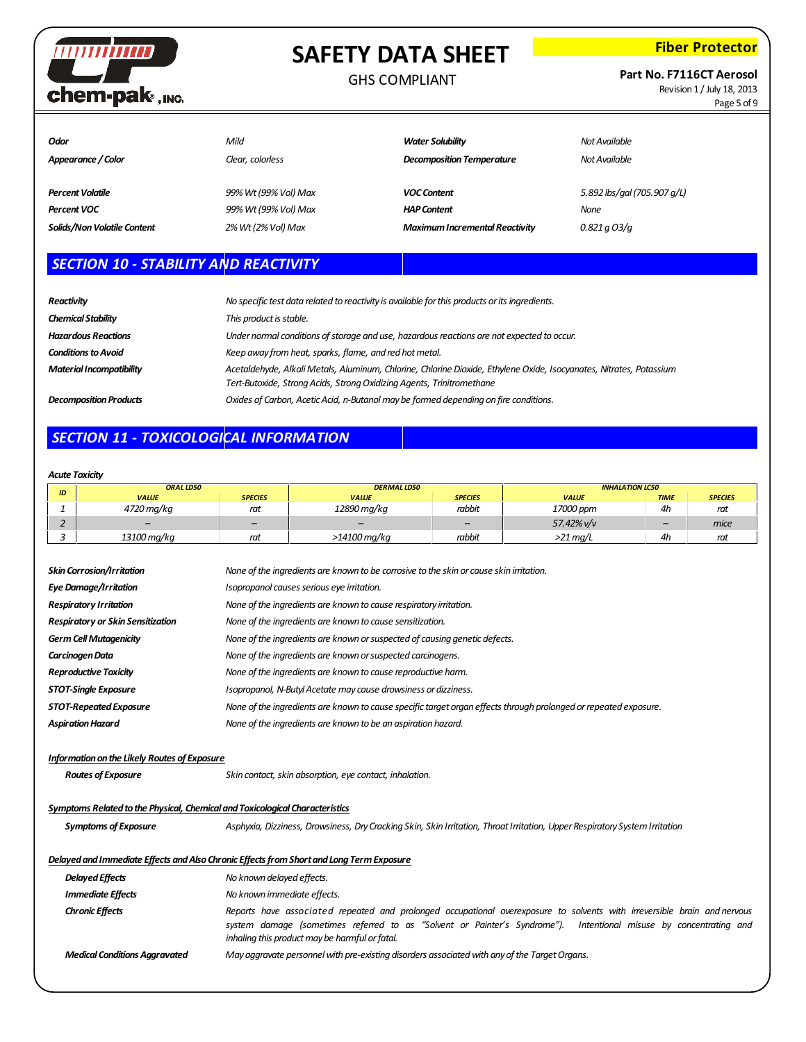

### GHS COMPLIANT

**Fiber Protector**

**Part No. F7116CT Aerosol**

Revision 1 / July 18, 2013 Page 5 of 9

| Odor<br>Appearance / Color  | Mild<br>Clear, colorless | <b>Water Solubility</b><br><b>Decomposition Temperature</b> | Not Available<br>Not Available |
|-----------------------------|--------------------------|-------------------------------------------------------------|--------------------------------|
| <b>Percent Volatile</b>     | 99% Wt (99% Vol) Max     | <b>VOC Content</b>                                          | 5.892 lbs/gal (705.907 g/L)    |
| <b>Percent VOC</b>          | 99% Wt (99% Vol) Max     | <b>HAP Content</b>                                          | <b>None</b>                    |
| Solids/Non Volatile Content | 2% Wt (2% Vol) Max       | <b>Maximum Incremental Reactivity</b>                       | $0.821$ a $O3/q$               |

# *SECTION 10 - STABILITY AND REACTIVITY*

| <b>Reactivity</b>               | No specific test data related to reactivity is available for this products or its ingredients.                                                                                               |
|---------------------------------|----------------------------------------------------------------------------------------------------------------------------------------------------------------------------------------------|
| <b>Chemical Stability</b>       | This product is stable.                                                                                                                                                                      |
| <b>Hazardous Reactions</b>      | Under normal conditions of storage and use, hazardous reactions are not expected to occur.                                                                                                   |
| <b>Conditions to Avoid</b>      | Keep away from heat, sparks, flame, and red hot metal.                                                                                                                                       |
| <b>Material Incompatibility</b> | Acetaldehyde, Alkali Metals, Aluminum, Chlorine, Chlorine Dioxide, Ethylene Oxide, Isocyanates, Nitrates, Potassium<br>Tert-Butoxide, Strong Acids, Strong Oxidizing Agents, Trinitromethane |
| <b>Decomposition Products</b>   | Oxides of Carbon, Acetic Acid, n-Butanol may be formed depending on fire conditions.                                                                                                         |

# *SECTION 11 - TOXICOLOGICAL INFORMATION*

### *Acute Toxicity*

| ID | ORAL LD50                |                | <b>DERMAL LD50</b> |                          | <b>INHALATION LC50</b> |             |                |
|----|--------------------------|----------------|--------------------|--------------------------|------------------------|-------------|----------------|
|    | <b>VALUE</b>             | <b>SPECIES</b> | <b>VALUE</b>       | <b>SPECIES</b>           | <b>VALUE</b>           | <b>TIME</b> | <b>SPECIES</b> |
|    | 4720 mg/kg               | rat            | 12890 mg/kg        | rabbit                   | 17000 ppm              | 4h          | rat            |
|    | $\overline{\phantom{a}}$ | -              |                    | $\overline{\phantom{0}}$ | 57.42% v/v             | -           | mice           |
|    | 13100 mg/kg              | rat            | >14100 mg/kg       | rabbit                   | >21 ma/L               | 4h          | rat            |

| <b>Skin Corrosion/Irritation</b>                                                                                                            | None of the ingredients are known to be corrosive to the skin or cause skin irritation.                                     |  |  |  |  |  |  |  |
|---------------------------------------------------------------------------------------------------------------------------------------------|-----------------------------------------------------------------------------------------------------------------------------|--|--|--|--|--|--|--|
| <b>Eye Damage/Irritation</b>                                                                                                                | Isopropanol causes serious eye irritation.                                                                                  |  |  |  |  |  |  |  |
| <b>Respiratory Irritation</b>                                                                                                               | None of the ingredients are known to cause respiratory irritation.                                                          |  |  |  |  |  |  |  |
| <b>Respiratory or Skin Sensitization</b>                                                                                                    | None of the ingredients are known to cause sensitization.                                                                   |  |  |  |  |  |  |  |
| <b>Germ Cell Mutagenicity</b>                                                                                                               | None of the ingredients are known or suspected of causing genetic defects.                                                  |  |  |  |  |  |  |  |
| Carcinogen Data                                                                                                                             | None of the ingredients are known or suspected carcinogens.                                                                 |  |  |  |  |  |  |  |
| <b>Reproductive Toxicity</b>                                                                                                                | None of the ingredients are known to cause reproductive harm.                                                               |  |  |  |  |  |  |  |
| <b>STOT-Single Exposure</b>                                                                                                                 | Isopropanol, N-Butyl Acetate may cause drowsiness or dizziness.                                                             |  |  |  |  |  |  |  |
| STOT-Repeated Exposure                                                                                                                      | None of the ingredients are known to cause specific target organ effects through prolonged or repeated exposure.            |  |  |  |  |  |  |  |
| <b>Aspiration Hazard</b>                                                                                                                    | None of the ingredients are known to be an aspiration hazard.                                                               |  |  |  |  |  |  |  |
| <b>Information on the Likely Routes of Exposure</b><br><b>Routes of Exposure</b><br>Skin contact, skin absorption, eye contact, inhalation. |                                                                                                                             |  |  |  |  |  |  |  |
| Symptoms Related to the Physical, Chemical and Toxicological Characteristics                                                                |                                                                                                                             |  |  |  |  |  |  |  |
| <b>Symptoms of Exposure</b>                                                                                                                 | Asphyxia, Dizziness, Drowsiness, Dry Cracking Skin, Skin Irritation, Throat Irritation, Upper Respiratory System Irritation |  |  |  |  |  |  |  |
|                                                                                                                                             |                                                                                                                             |  |  |  |  |  |  |  |

### *DelayedandImmediate Effects andAlsoChronic Effectsfrom ShortandLongTerm Exposure*

| <b>Delayed Effects</b>               | No known delayed effects.                                                                                                                                                                                                                                                                       |
|--------------------------------------|-------------------------------------------------------------------------------------------------------------------------------------------------------------------------------------------------------------------------------------------------------------------------------------------------|
| <b>Immediate Effects</b>             | No known immediate effects.                                                                                                                                                                                                                                                                     |
| <b>Chronic Effects</b>               | Reports have associated repeated and prolonged occupational overexposure to solvents with irreversible brain and nervous<br>system damage (sometimes referred to as "Solvent or Painter's Syndrome"). Intentional misuse by concentrating and<br>inhaling this product may be harmful or fatal. |
| <b>Medical Conditions Aggravated</b> | May aggravate personnel with pre-existing disorders associated with any of the Target Organs.                                                                                                                                                                                                   |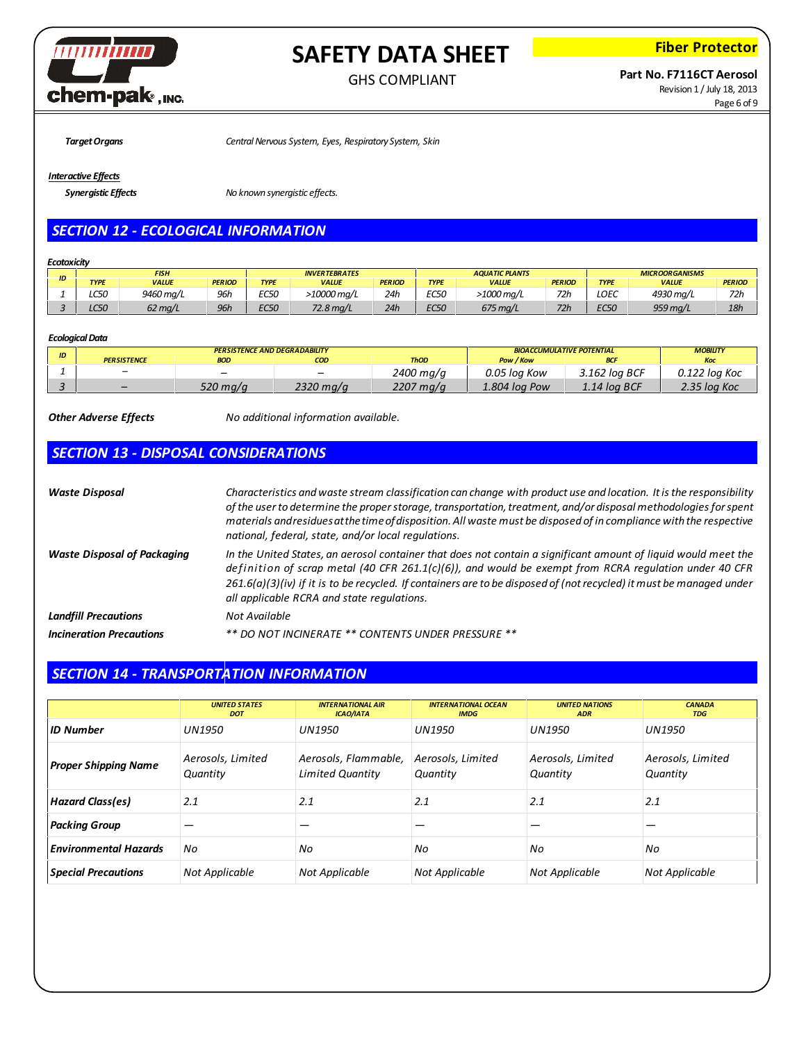

**Fiber Protector**

## **Part No. F7116CT Aerosol**

Revision 1 / July 18, 2013 Page 6 of 9

*TargetOrgans CentralNervous System, Eyes, Respiratory System, Skin*

### *Interactive Effects*

*Synergistic Effects No known synergistic effects.*

# *SECTION 12 - ECOLOGICAL INFORMATION*

### *Ecotoxicity*

|    | FISH        |           |               | <b>INVERTEBRATES</b> |              |               | <b>AQUATIC PLANTS</b> |              |               | <b>MICROORGANISMS</b> |              |               |
|----|-------------|-----------|---------------|----------------------|--------------|---------------|-----------------------|--------------|---------------|-----------------------|--------------|---------------|
| ID | <b>TYPE</b> | VALUE     | <b>PERIOD</b> | <b>TYPE</b>          | <b>VALUE</b> | <b>PERIOD</b> | <b>TYPE</b>           | <b>VALUE</b> | <b>PERIOD</b> | <b>TYPE</b>           | <b>VALUE</b> | <b>PERIOD</b> |
|    | C50<br>∟ພ   | 9460 mg/L | 96ŀ           | <b>EC50</b>          | ∙10000 ma/L  | 24h           | EC50                  | >1000 ma/L   | 72h           | LOEC                  | 4930 mg/L    | 72h           |
|    | CED<br>டப்ப | 62 ma/L   | 96ł           | <b>EC50</b>          | 72.8 ma/L    | 24h           | <b>EC50</b>           | 675 ma/L     | 72h           | <b>EC50</b>           | 959 ma/L     | 18h           |

### *EcologicalData*

| ID |                          | <b>PERSISTENCE AND DEGRADABILITY</b> |                          | <b>BIOACCUMULATIVE POTENTIAL</b> | <b>MOBILITY</b> |               |               |
|----|--------------------------|--------------------------------------|--------------------------|----------------------------------|-----------------|---------------|---------------|
|    | <b>PERSISTENCE</b>       | <b>BOD</b>                           | COD                      | <b>ThOD</b>                      | Pow / Kow       |               | Koc           |
|    | $\overline{\phantom{0}}$ |                                      | $\overline{\phantom{0}}$ | 2400 mg/g                        | 0.05 loa Kow    | 3.162 loa BCF | 0.122 loa Koc |
|    | $\overline{\phantom{0}}$ | 520 mg/g                             | 2320 mg/g                | 2207 mg/g                        | 1.804 loa Pow   | 1.14 loa BCF  | 2.35 loa Koc  |

*Other Adverse Effects No additional information available.*

# *SECTION 13 - DISPOSAL CONSIDERATIONS*

| <b>Waste Disposal</b>              | Characteristics and waste stream classification can change with product use and location. It is the responsibility<br>of the user to determine the proper storage, transportation, treatment, and/or disposal methodologies for spent<br>materials and residues at the time of disposition. All waste must be disposed of in compliance with the respective<br>national, federal, state, and/or local regulations. |
|------------------------------------|--------------------------------------------------------------------------------------------------------------------------------------------------------------------------------------------------------------------------------------------------------------------------------------------------------------------------------------------------------------------------------------------------------------------|
| <b>Waste Disposal of Packaging</b> | In the United States, an aerosol container that does not contain a significant amount of liquid would meet the<br>definition of scrap metal (40 CFR 261.1(c)(6)), and would be exempt from RCRA regulation under 40 CFR<br>$261.6(a)(3)(iv)$ if it is to be recycled. If containers are to be disposed of (not recycled) it must be managed under<br>all applicable RCRA and state regulations.                    |
| <b>Landfill Precautions</b>        | Not Available                                                                                                                                                                                                                                                                                                                                                                                                      |
| <b>Incineration Precautions</b>    | ** DO NOT INCINERATE ** CONTENTS UNDER PRESSURE **                                                                                                                                                                                                                                                                                                                                                                 |

# *SECTION 14 - TRANSPORTATION INFORMATION*

|                              | <b>UNITED STATES</b><br><b>DOT</b> | <b>INTERNATIONAL AIR</b><br><b>ICAO/IATA</b>    | <b>INTERNATIONAL OCEAN</b><br><b>IMDG</b> | <b>UNITED NATIONS</b><br><b>ADR</b> | <b>CANADA</b><br><b>TDG</b>   |
|------------------------------|------------------------------------|-------------------------------------------------|-------------------------------------------|-------------------------------------|-------------------------------|
| <b>ID Number</b>             | <b>UN1950</b>                      | <b>UN1950</b>                                   | UN1950                                    | <b>UN1950</b>                       | UN1950                        |
| <b>Proper Shipping Name</b>  | Aerosols, Limited<br>Quantity      | Aerosols, Flammable,<br><b>Limited Quantity</b> | Aerosols, Limited<br>Quantity             | Aerosols, Limited<br>Quantity       | Aerosols, Limited<br>Quantity |
| <b>Hazard Class(es)</b>      | 2.1                                | 2.1                                             | 2.1                                       | 2.1                                 | 2.1                           |
| <b>Packing Group</b>         |                                    |                                                 |                                           |                                     |                               |
| <b>Environmental Hazards</b> | No                                 | No                                              | No                                        | No                                  | No                            |
| <b>Special Precautions</b>   | Not Applicable                     | Not Applicable                                  | Not Applicable                            | Not Applicable                      | Not Applicable                |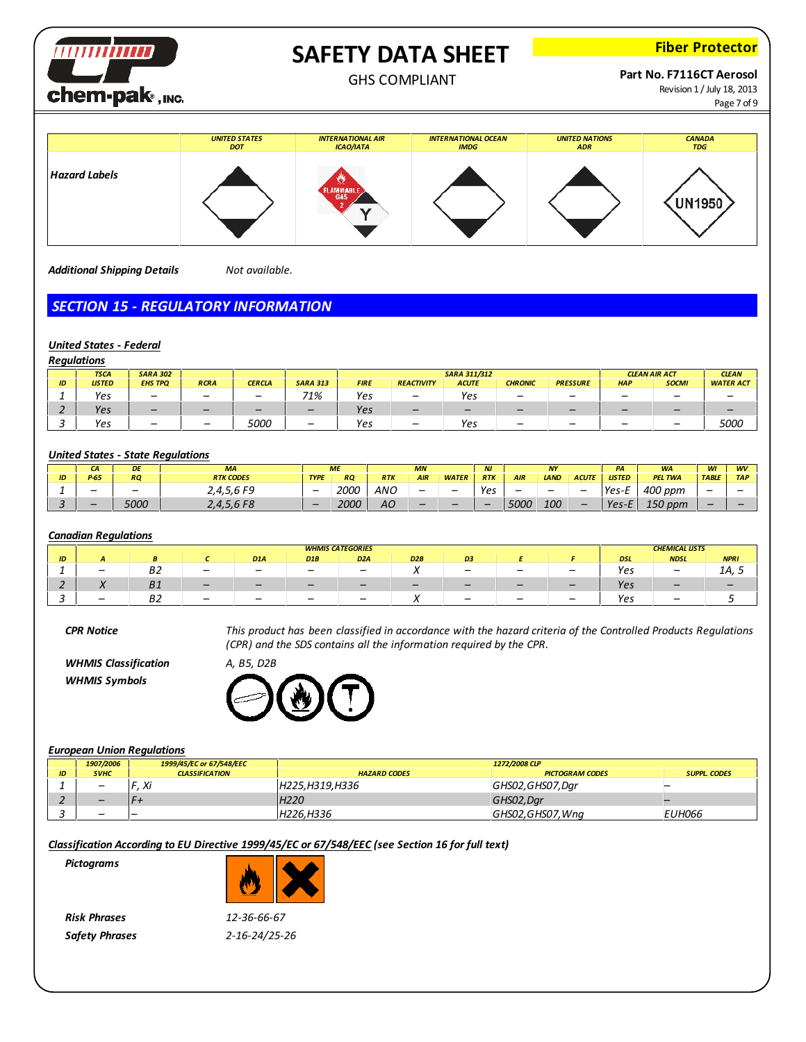

**Fiber Protector**

### GHS COMPLIANT

**Part No. F7116CT Aerosol**

Revision 1 / July 18, 2013 Page 7 of 9



*Additional Shipping Details Not available.*

# *SECTION 15 - REGULATORY INFORMATION*

### *United States - Federal*

|    | <b>Regulations</b> |                 |                          |               |                 |                                             |                   |              |                |                 |                          |              |                  |
|----|--------------------|-----------------|--------------------------|---------------|-----------------|---------------------------------------------|-------------------|--------------|----------------|-----------------|--------------------------|--------------|------------------|
|    | <b>TSCA</b>        | <b>SARA 302</b> |                          |               |                 | <b>SARA 311/312</b><br><b>CLEAN AIR ACT</b> |                   |              |                |                 | <b>CLEAN</b>             |              |                  |
| ID | <b>LISTED</b>      | <b>EHS TPO</b>  | <b>RCRA</b>              | <b>CERCLA</b> | <b>SARA 313</b> | <b>FIRE</b>                                 | <b>REACTIVITY</b> | <b>ACUTE</b> | <b>CHRONIC</b> | <b>PRESSURE</b> | <b>HAP</b>               | <b>SOCMI</b> | <b>WATER ACT</b> |
|    | Yes                | -               |                          |               | 71%             | Yes                                         | -                 | Yes          | -              | -               | $\overline{\phantom{0}}$ | -            |                  |
|    | Yes                | -               |                          | -             | -               | Yes                                         | -                 |              |                |                 | $\overline{\phantom{0}}$ |              |                  |
|    | Yes                | -               | $\overline{\phantom{0}}$ | <i>5000</i>   | -               | Yes                                         | -                 | Yes          | -              | -               |                          | -            | 5000             |

### *United States - State Regulations*

|    | CA                       | DE          | <b>MA</b>                |                          | <b>ME</b> |            | <b>MN</b>  |              | <b>NJ</b>  |            | <b>NY</b>   |              | PA                            | <b>WA</b>                           | WI           | <b>WV</b>  |
|----|--------------------------|-------------|--------------------------|--------------------------|-----------|------------|------------|--------------|------------|------------|-------------|--------------|-------------------------------|-------------------------------------|--------------|------------|
| שו | $P-65$                   | <b>RQ</b>   | <b>RTK CODES</b>         | <b>TYPE</b>              | <b>RQ</b> | <b>RTK</b> | <b>AIR</b> | <b>WATER</b> | <b>RTK</b> | <b>AIR</b> | <b>LAND</b> | <b>ACUTE</b> | <b>LISTED</b>                 | <b>PEL TWA</b>                      | <b>TABLE</b> | <b>TAP</b> |
|    |                          |             | $2,4,5,6$ F <sup>q</sup> | $\overline{\phantom{m}}$ | 2000      | <b>ANC</b> |            |              | Yes        | -          | -           | -            | Yes-L<br>-                    | 400 ppm                             |              |            |
|    | $\overline{\phantom{a}}$ | <i>5000</i> | 2,4,5,6 F8               | -                        | 2000      | АO         | -          | -            | -          | 5000       | 100         |              | $V_{\text{QC}}$ - $F$<br>, сэ | 1 $\Gamma$ $\Omega$<br>opm ا<br>⊥⊃∪ | -            |            |

### *Canadian Regulations*

|          | <b>WHMIS CATEGORIES</b> |            |                                                      |                  |     |                  | <b>CHEMICAL LISTS</b> |                          |                          |                          |            |                                                      |             |
|----------|-------------------------|------------|------------------------------------------------------|------------------|-----|------------------|-----------------------|--------------------------|--------------------------|--------------------------|------------|------------------------------------------------------|-------------|
| ID       |                         |            |                                                      | D <sub>1</sub> A | D1B | D <sub>2</sub> A | D2B                   | D <sub>3</sub>           |                          |                          | <b>DSL</b> | <b>NDSL</b>                                          | <b>NPRI</b> |
| <b>.</b> |                         | - -<br>DZ  | $\overline{\phantom{0}}$<br>$\overline{\phantom{a}}$ | -                |     |                  |                       |                          | $\overline{\phantom{0}}$ | $\overline{\phantom{0}}$ | Yes        | _                                                    | 1Α,         |
|          |                         | D 1        |                                                      | -                |     | $-$              |                       |                          |                          |                          | Yes        |                                                      |             |
|          |                         | - -<br>DZ. | $\overline{\phantom{0}}$<br>$\overline{\phantom{0}}$ |                  |     |                  |                       | $\overline{\phantom{0}}$ |                          | $\overline{\phantom{0}}$ | Yes        | $\overline{\phantom{0}}$<br>$\overline{\phantom{a}}$ |             |

CPR Notice This product has been classified in accordance with the hazard criteria of the Controlled Products Regulations *(CPR) and the SDS contains all the information required by the CPR.*

*WHMIS Classification A, B5, D2B WHMIS Symbols*



### *European Union Regulations*

|                | 1907/2006   | 1999/45/EC or 67/548/EEC |                     | 1272/2008 CLP          |                     |
|----------------|-------------|--------------------------|---------------------|------------------------|---------------------|
| $\overline{D}$ | <b>SVHC</b> | <b>CLASSIFICATION</b>    | <b>HAZARD CODES</b> | <b>PICTOGRAM CODES</b> | <b>SUPPL. CODES</b> |
|                | -           | $\overline{v}$<br>᠕      | H225,H319,H336      | GHS02,GHS07,Dar        |                     |
|                |             |                          | H <sub>220</sub>    | GHS02,Dar              |                     |
|                |             |                          | H226.H336           | GHS02,GHS07, Wng       | <i>EUH066</i>       |

*Classification According to EU Directive 1999/45/EC or 67/548/EEC (see Section 16 for full text)*

*Pictograms*

*Risk Phrases 12-36-66-67 Safety Phrases 2-16-24/25-26*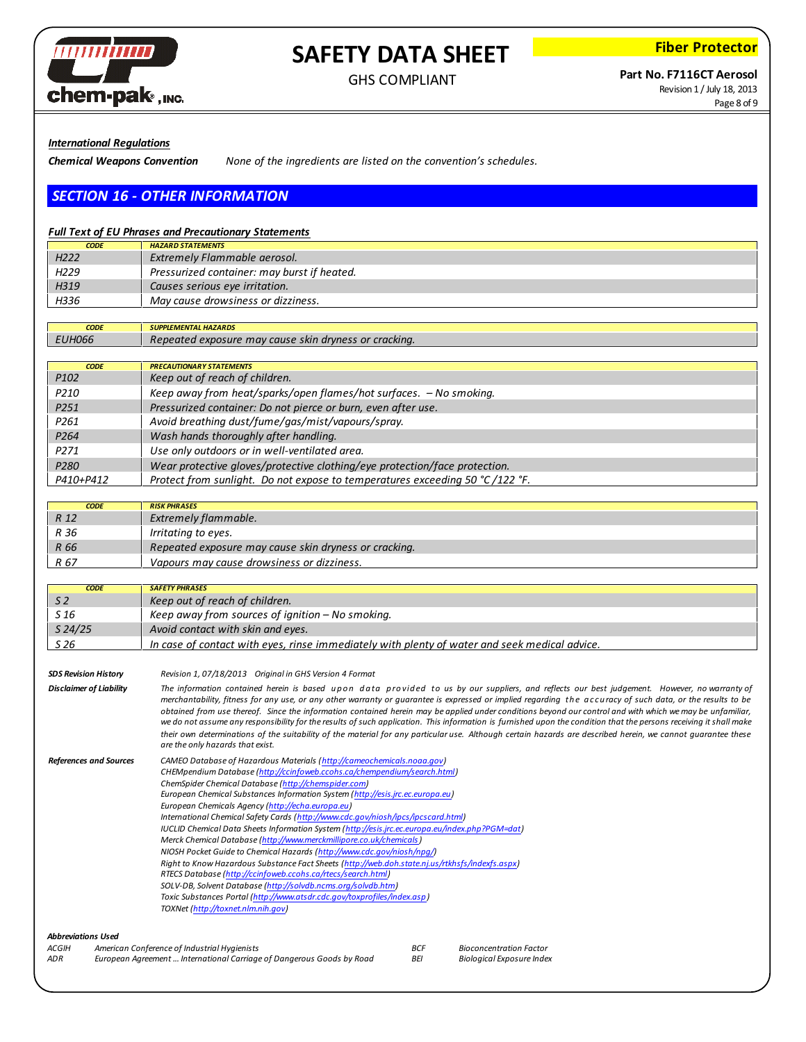

**Fiber Protector**

# **Part No. F7116CT Aerosol**

Revision 1 / July 18, 2013 Page 8 of 9

*International Regulations*

*Chemical Weapons Convention None of the ingredients are listed on the convention's schedules.*

# *SECTION 16 - OTHER INFORMATION*

### *Full Text of EU Phrases and Precautionary Statements*

| <b>CODE</b>      | <b>HAZARD STATEMENTS</b>                    |
|------------------|---------------------------------------------|
| H <sub>222</sub> | <b>Extremely Flammable aerosol.</b>         |
| H <sub>229</sub> | Pressurized container: may burst if heated. |
| H319             | Causes serious eye irritation.              |
| H336             | May cause drowsiness or dizziness.          |

*CODE SUPPLEMENTAL HAZARDS EUH066 Repeated exposure may cause skin dryness or cracking.*

| <b>CODE</b>      | <b>PRECAUTIONARY STATEMENTS</b>                                               |
|------------------|-------------------------------------------------------------------------------|
| P <sub>102</sub> | Keep out of reach of children.                                                |
| P <sub>210</sub> | Keep away from heat/sparks/open flames/hot surfaces. - No smoking.            |
| P <sub>251</sub> | Pressurized container: Do not pierce or burn, even after use.                 |
| P <sub>261</sub> | Avoid breathing dust/fume/gas/mist/vapours/spray.                             |
| P <sub>264</sub> | Wash hands thoroughly after handling.                                         |
| P <sub>271</sub> | Use only outdoors or in well-ventilated area.                                 |
| P <sub>280</sub> | Wear protective gloves/protective clothing/eye protection/face protection.    |
| P410+P412        | Protect from sunlight. Do not expose to temperatures exceeding 50 °C /122 °F. |

| <b>CODE</b> | <b>RISK PHRASES</b>                                   |
|-------------|-------------------------------------------------------|
| R 12        | Extremely flammable.                                  |
| R 36        | Irritating to eyes.                                   |
| R 66        | Repeated exposure may cause skin dryness or cracking. |
| R 67        | Vapours may cause drowsiness or dizziness.            |

| <b>CODE</b>                 | <b>SAFETY PHRASES</b>                                                                         |
|-----------------------------|-----------------------------------------------------------------------------------------------|
| S 2                         | Keep out of reach of children.                                                                |
| S 16                        | Keep away from sources of ignition $-$ No smoking.                                            |
| $S$ 24/25                   | Avoid contact with skin and eyes.                                                             |
| S <sub>26</sub>             | In case of contact with eyes, rinse immediately with plenty of water and seek medical advice. |
|                             |                                                                                               |
| <b>SDS Revision History</b> | Revision 1 07/18/2013 Original in GHS Version 4 Format                                        |

| <b>SDS Revision History</b>    |                                                                                                                                                                                                                                                                                                                                                                                                                                                                                                                                                                                                                                                                                                                                                                                                                                                                                                                                                                                                                                                  |
|--------------------------------|--------------------------------------------------------------------------------------------------------------------------------------------------------------------------------------------------------------------------------------------------------------------------------------------------------------------------------------------------------------------------------------------------------------------------------------------------------------------------------------------------------------------------------------------------------------------------------------------------------------------------------------------------------------------------------------------------------------------------------------------------------------------------------------------------------------------------------------------------------------------------------------------------------------------------------------------------------------------------------------------------------------------------------------------------|
| <b>Disclaimer of Liability</b> | The information contained herein is based upon data provided to us by our suppliers, and reflects our best judgement. However, no warranty of<br>merchantability, fitness for any use, or any other warranty or guarantee is expressed or implied regarding the accuracy of such data, or the results to be<br>obtained from use thereof. Since the information contained herein may be applied under conditions beyond our control and with which we may be unfamiliar,<br>we do not assume any responsibility for the results of such application. This information is furnished upon the condition that the persons receiving it shall make<br>their own determinations of the suitability of the material for any particular use. Although certain hazards are described herein, we cannot quarantee these<br>are the only hazards that exist.                                                                                                                                                                                               |
| <b>References and Sources</b>  | CAMEO Database of Hazardous Materials (http://cameochemicals.noaa.gov)<br>CHEMpendium Database (http://ccinfoweb.ccohs.ca/chempendium/search.html)<br>ChemSpider Chemical Database (http://chemspider.com)<br>European Chemical Substances Information System (http://esis.jrc.ec.europa.eu)<br>European Chemicals Agency (http://echa.europa.eu)<br>International Chemical Safety Cards (http://www.cdc.gov/niosh/ipcs/ipcscard.html)<br>IUCLID Chemical Data Sheets Information System (http://esis.jrc.ec.europa.eu/index.php?PGM=dat)<br>Merck Chemical Database (http://www.merckmillipore.co.uk/chemicals)<br>NIOSH Pocket Guide to Chemical Hazards (http://www.cdc.gov/niosh/npg/)<br>Right to Know Hazardous Substance Fact Sheets (http://web.doh.state.nj.us/rtkhsfs/indexfs.aspx)<br>RTECS Database (http://ccinfoweb.ccohs.ca/rtecs/search.html)<br>SOLV-DB, Solvent Database (http://solvdb.ncms.org/solvdb.htm)<br>Toxic Substances Portal (http://www.atsdr.cdc.gov/toxprofiles/index.asp)<br>TOXNet (http://toxnet.nlm.nih.gov) |
| .                              |                                                                                                                                                                                                                                                                                                                                                                                                                                                                                                                                                                                                                                                                                                                                                                                                                                                                                                                                                                                                                                                  |

*Abbreviations Used ACGIH American Conference of Industrial Hygienists ADR European Agreement ... International Carriage of Dangerous Goods by Road BCF Bioconcentration Factor*  $B$ *iological Exposure Index*